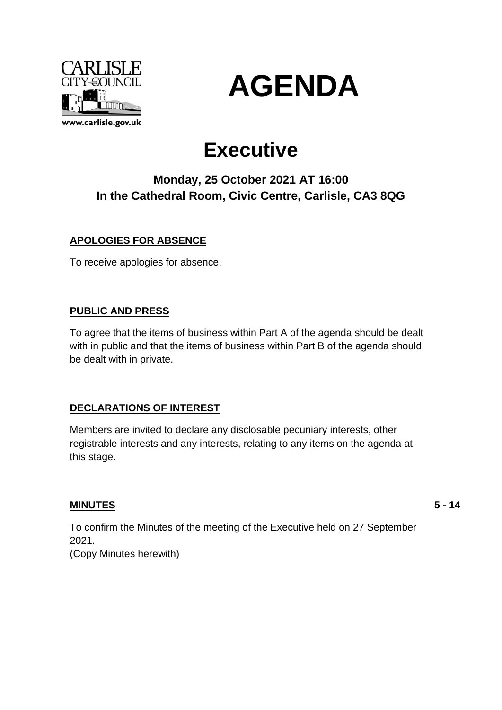



# **Executive**

# **Monday, 25 October 2021 AT 16:00 In the Cathedral Room, Civic Centre, Carlisle, CA3 8QG**

## **APOLOGIES FOR ABSENCE**

To receive apologies for absence.

### **PUBLIC AND PRESS**

To agree that the items of business within Part A of the agenda should be dealt with in public and that the items of business within Part B of the agenda should be dealt with in private.

### **DECLARATIONS OF INTEREST**

Members are invited to declare any disclosable pecuniary interests, other registrable interests and any interests, relating to any items on the agenda at this stage.

### **MINUTES**

**5 - 14**

To confirm the Minutes of the meeting of the Executive held on 27 September 2021.

(Copy Minutes herewith)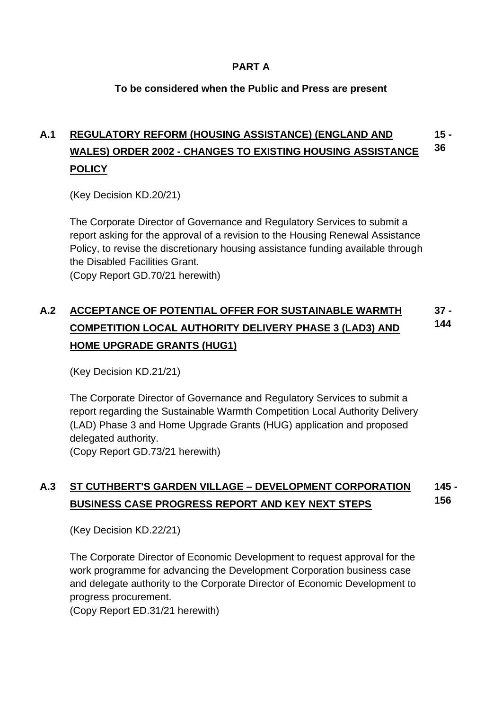### **PART A**

### **To be considered when the Public and Press are present**

### **A.1 REGULATORY REFORM (HOUSING ASSISTANCE) (ENGLAND AND WALES) ORDER 2002 - CHANGES TO EXISTING HOUSING ASSISTANCE POLICY 15 - 36**

(Key Decision KD.20/21)

The Corporate Director of Governance and Regulatory Services to submit a report asking for the approval of a revision to the Housing Renewal Assistance Policy, to revise the discretionary housing assistance funding available through the Disabled Facilities Grant.

(Copy Report GD.70/21 herewith)

### **A.2 ACCEPTANCE OF POTENTIAL OFFER FOR SUSTAINABLE WARMTH COMPETITION LOCAL AUTHORITY DELIVERY PHASE 3 (LAD3) AND HOME UPGRADE GRANTS (HUG1) 37 - 144**

(Key Decision KD.21/21)

The Corporate Director of Governance and Regulatory Services to submit a report regarding the Sustainable Warmth Competition Local Authority Delivery (LAD) Phase 3 and Home Upgrade Grants (HUG) application and proposed delegated authority. (Copy Report GD.73/21 herewith)

#### **A.3 ST CUTHBERT'S GARDEN VILLAGE – DEVELOPMENT CORPORATION BUSINESS CASE PROGRESS REPORT AND KEY NEXT STEPS 145 - 156**

(Key Decision KD.22/21)

The Corporate Director of Economic Development to request approval for the work programme for advancing the Development Corporation business case and delegate authority to the Corporate Director of Economic Development to progress procurement.

(Copy Report ED.31/21 herewith)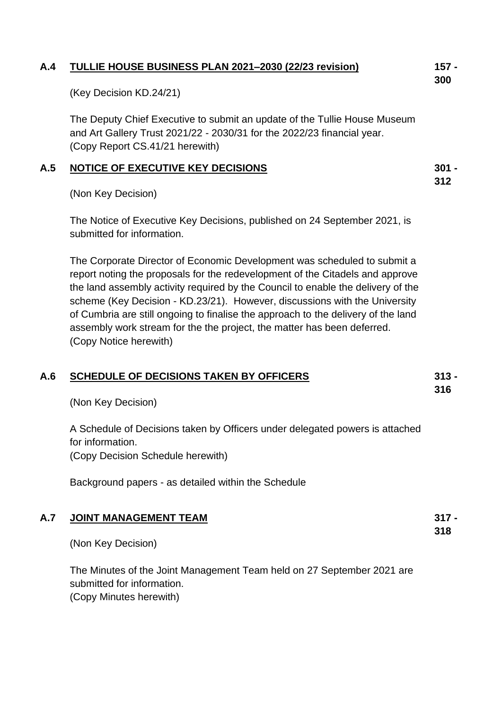### **A.4 TULLIE HOUSE BUSINESS PLAN 2021–2030 (22/23 revision)**

(Key Decision KD.24/21)

The Deputy Chief Executive to submit an update of the Tullie House Museum and Art Gallery Trust 2021/22 - 2030/31 for the 2022/23 financial year. (Copy Report CS.41/21 herewith)

### **A.5 NOTICE OF EXECUTIVE KEY DECISIONS**

(Non Key Decision)

The Notice of Executive Key Decisions, published on 24 September 2021, is submitted for information.

The Corporate Director of Economic Development was scheduled to submit a report noting the proposals for the redevelopment of the Citadels and approve the land assembly activity required by the Council to enable the delivery of the scheme (Key Decision - KD.23/21). However, discussions with the University of Cumbria are still ongoing to finalise the approach to the delivery of the land assembly work stream for the the project, the matter has been deferred. (Copy Notice herewith)

| A.6 | <b>SCHEDULE OF DECISIONS TAKEN BY OFFICERS</b><br>(Non Key Decision)                                                                  | $313 -$<br>316 |
|-----|---------------------------------------------------------------------------------------------------------------------------------------|----------------|
|     | A Schedule of Decisions taken by Officers under delegated powers is attached<br>for information.<br>(Copy Decision Schedule herewith) |                |
|     | Background papers - as detailed within the Schedule                                                                                   |                |
| A.7 | <b>JOINT MANAGEMENT TEAM</b>                                                                                                          |                |

(Non Key Decision)

The Minutes of the Joint Management Team held on 27 September 2021 are submitted for information. (Copy Minutes herewith)

**301 -**

**312**

**318**